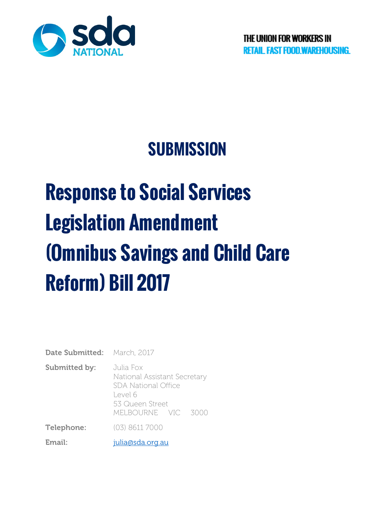

# **SUBMISSION**

# **Response to Social Services Legislation Amendment (Omnibus Savings and Child Care Reform) Bill 2017**

| <b>Date Submitted:</b> March, 2017 |                                                                                                       |
|------------------------------------|-------------------------------------------------------------------------------------------------------|
| <b>Submitted by:</b>               | Julia Fox<br>National Assistant Secretary<br><b>SDA National Office</b><br>Level 6<br>53 Queen Street |
|                                    | MELBOURNE VIC 3000                                                                                    |
| Telephone:                         | (03) 8611 7000                                                                                        |

Email: [julia@sda.org.au](mailto:julia@sda.org.au)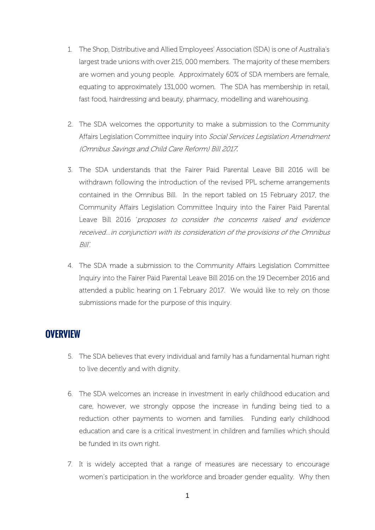- 1. The Shop, Distributive and Allied Employees' Association (SDA) is one of Australia's largest trade unions with over 215, 000 members. The majority of these members are women and young people. Approximately 60% of SDA members are female, equating to approximately 131,000 women. The SDA has membership in retail, fast food, hairdressing and beauty, pharmacy, modelling and warehousing.
- 2. The SDA welcomes the opportunity to make a submission to the Community Affairs Legislation Committee inquiry into Social Services Legislation Amendment (Omnibus Savings and Child Care Reform) Bill 2017.
- 3. The SDA understands that the Fairer Paid Parental Leave Bill 2016 will be withdrawn following the introduction of the revised PPL scheme arrangements contained in the Omnibus Bill. In the report tabled on 15 February 2017, the Community Affairs Legislation Committee Inquiry into the Fairer Paid Parental Leave Bill 2016 'proposes to consider the concerns raised and evidence received…in conjunction with its consideration of the provisions of the Omnibus Bill'.
- 4. The SDA made a submission to the Community Affairs Legislation Committee Inquiry into the Fairer Paid Parental Leave Bill 2016 on the 19 December 2016 and attended a public hearing on 1 February 2017. We would like to rely on those submissions made for the purpose of this inquiry.

#### **OVERVIEW**

- 5. The SDA believes that every individual and family has a fundamental human right to live decently and with dignity.
- 6. The SDA welcomes an increase in investment in early childhood education and care, however, we strongly oppose the increase in funding being tied to a reduction other payments to women and families. Funding early childhood education and care is a critical investment in children and families which should be funded in its own right.
- 7. It is widely accepted that a range of measures are necessary to encourage women's participation in the workforce and broader gender equality. Why then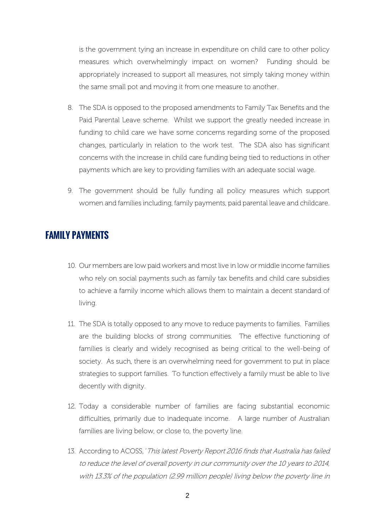is the government tying an increase in expenditure on child care to other policy measures which overwhelmingly impact on women? Funding should be appropriately increased to support all measures, not simply taking money within the same small pot and moving it from one measure to another.

- 8. The SDA is opposed to the proposed amendments to Family Tax Benefits and the Paid Parental Leave scheme. Whilst we support the greatly needed increase in funding to child care we have some concerns regarding some of the proposed changes, particularly in relation to the work test. The SDA also has significant concerns with the increase in child care funding being tied to reductions in other payments which are key to providing families with an adequate social wage.
- 9. The government should be fully funding all policy measures which support women and families including, family payments, paid parental leave and childcare.

#### **FAMILY PAYMENTS**

- 10. Our members are low paid workers and most live in low or middle income families who rely on social payments such as family tax benefits and child care subsidies to achieve a family income which allows them to maintain a decent standard of living.
- 11. The SDA is totally opposed to any move to reduce payments to families. Families are the building blocks of strong communities. The effective functioning of families is clearly and widely recognised as being critical to the well-being of society. As such, there is an overwhelming need for government to put in place strategies to support families. To function effectively a family must be able to live decently with dignity.
- 12. Today a considerable number of families are facing substantial economic difficulties, primarily due to inadequate income. A large number of Australian families are living below, or close to, the poverty line.
- 13. According to ACOSS, 'This latest Poverty Report 2016 finds that Australia has failed to reduce the level of overall poverty in our community over the 10 years to 2014, with 13.3% of the population (2.99 million people) living below the poverty line in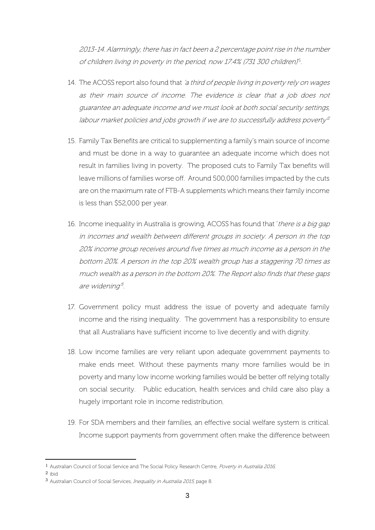2013-14. Alarmingly, there has in fact been a 2 percentage point rise in the number of children living in poverty in the period, now 17.4% (731 300 children)' 1 .

- 14. The ACOSS report also found that 'a third of people living in poverty rely on wages as their main source of income. The evidence is clear that a job does not guarantee an adequate income and we must look at both social security settings, labour market policies and jobs growth if we are to successfully address poverty  $^{\varrho}$
- 15. Family Tax Benefits are critical to supplementing a family's main source of income and must be done in a way to guarantee an adequate income which does not result in families living in poverty. The proposed cuts to Family Tax benefits will leave millions of families worse off. Around 500,000 families impacted by the cuts are on the maximum rate of FTB-A supplements which means their family income is less than \$52,000 per year.
- 16. Income inequality in Australia is growing, ACOSS has found that 'there is a big gap in incomes and wealth between different groups in society. A person in the top 20% income group receives around five times as much income as a person in the bottom 20%. A person in the top 20% wealth group has a staggering 70 times as much wealth as a person in the bottom 20%. The Report also finds that these gaps are widening<sup>3</sup>.
- 17. Government policy must address the issue of poverty and adequate family income and the rising inequality. The government has a responsibility to ensure that all Australians have sufficient income to live decently and with dignity.
- 18. Low income families are very reliant upon adequate government payments to make ends meet. Without these payments many more families would be in poverty and many low income working families would be better off relying totally on social security. Public education, health services and child care also play a hugely important role in income redistribution.
- 19. For SDA members and their families, an effective social welfare system is critical. Income support payments from government often make the difference between

2 ibid

<sup>-</sup>1 Australian Council of Social Service and The Social Policy Research Centre, Poverty in Australia 2016,

<sup>3</sup> Australian Council of Social Services, Inequality in Australia 2015, page 8.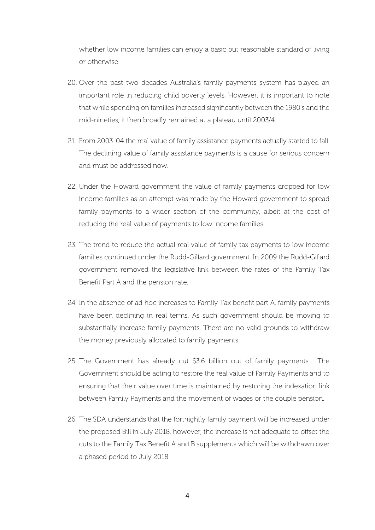whether low income families can enjoy a basic but reasonable standard of living or otherwise.

- 20. Over the past two decades Australia's family payments system has played an important role in reducing child poverty levels. However, it is important to note that while spending on families increased significantly between the 1980's and the mid-nineties, it then broadly remained at a plateau until 2003/4.
- 21. From 2003-04 the real value of family assistance payments actually started to fall. The declining value of family assistance payments is a cause for serious concern and must be addressed now.
- 22. Under the Howard government the value of family payments dropped for low income families as an attempt was made by the Howard government to spread family payments to a wider section of the community, albeit at the cost of reducing the real value of payments to low income families.
- 23. The trend to reduce the actual real value of family tax payments to low income families continued under the Rudd-Gillard government. In 2009 the Rudd-Gillard government removed the legislative link between the rates of the Family Tax Benefit Part A and the pension rate.
- 24. In the absence of ad hoc increases to Family Tax benefit part A, family payments have been declining in real terms. As such government should be moving to substantially increase family payments. There are no valid grounds to withdraw the money previously allocated to family payments.
- 25. The Government has already cut \$3.6 billion out of family payments. The Government should be acting to restore the real value of Family Payments and to ensuring that their value over time is maintained by restoring the indexation link between Family Payments and the movement of wages or the couple pension.
- 26. The SDA understands that the fortnightly family payment will be increased under the proposed Bill in July 2018, however, the increase is not adequate to offset the cuts to the Family Tax Benefit A and B supplements which will be withdrawn over a phased period to July 2018.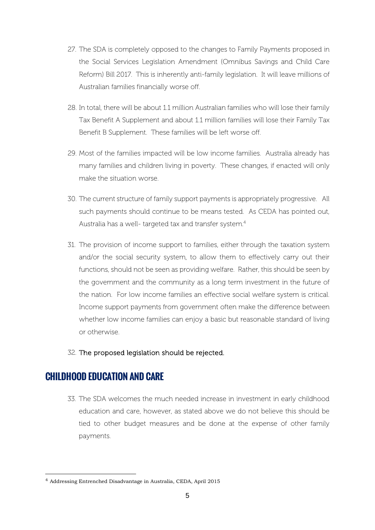- 27. The SDA is completely opposed to the changes to Family Payments proposed in the Social Services Legislation Amendment (Omnibus Savings and Child Care Reform) Bill 2017. This is inherently anti-family legislation. It will leave millions of Australian families financially worse off.
- 28. In total, there will be about 1.1 million Australian families who will lose their family Tax Benefit A Supplement and about 1.1 million families will lose their Family Tax Benefit B Supplement. These families will be left worse off.
- 29. Most of the families impacted will be low income families. Australia already has many families and children living in poverty. These changes, if enacted will only make the situation worse.
- 30. The current structure of family support payments is appropriately progressive. All such payments should continue to be means tested. As CEDA has pointed out, Australia has a well- targeted tax and transfer system.<sup>4</sup>
- 31. The provision of income support to families, either through the taxation system and/or the social security system, to allow them to effectively carry out their functions, should not be seen as providing welfare. Rather, this should be seen by the government and the community as a long term investment in the future of the nation. For low income families an effective social welfare system is critical. Income support payments from government often make the difference between whether low income families can enjoy a basic but reasonable standard of living or otherwise.
- 32. The proposed legislation should be rejected.

### **CHILDHOOD EDUCATION AND CARE**

-

33. The SDA welcomes the much needed increase in investment in early childhood education and care, however, as stated above we do not believe this should be tied to other budget measures and be done at the expense of other family payments.

<sup>4</sup> Addressing Entrenched Disadvantage in Australia, CEDA, April 2015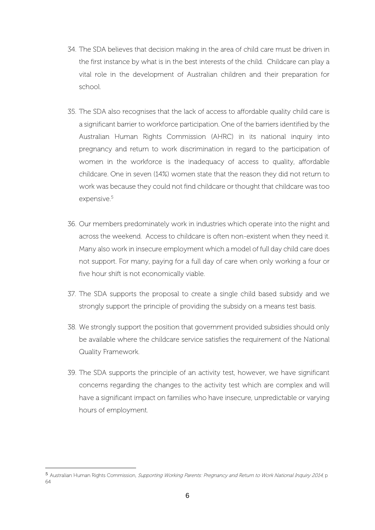- 34. The SDA believes that decision making in the area of child care must be driven in the first instance by what is in the best interests of the child. Childcare can play a vital role in the development of Australian children and their preparation for school.
- 35. The SDA also recognises that the lack of access to affordable quality child care is a significant barrier to workforce participation. One of the barriers identified by the Australian Human Rights Commission (AHRC) in its national inquiry into pregnancy and return to work discrimination in regard to the participation of women in the workforce is the inadequacy of access to quality, affordable childcare. One in seven (14%) women state that the reason they did not return to work was because they could not find childcare or thought that childcare was too expensive.<sup>5</sup>
- 36. Our members predominately work in industries which operate into the night and across the weekend. Access to childcare is often non-existent when they need it. Many also work in insecure employment which a model of full day child care does not support. For many, paying for a full day of care when only working a four or five hour shift is not economically viable.
- 37. The SDA supports the proposal to create a single child based subsidy and we strongly support the principle of providing the subsidy on a means test basis.
- 38. We strongly support the position that government provided subsidies should only be available where the childcare service satisfies the requirement of the National Quality Framework.
- 39. The SDA supports the principle of an activity test, however, we have significant concerns regarding the changes to the activity test which are complex and will have a significant impact on families who have insecure, unpredictable or varying hours of employment.

-

<sup>5</sup> Australian Human Rights Commission, Supporting Working Parents: Pregnancy and Return to Work National Inquiry 2014, p 64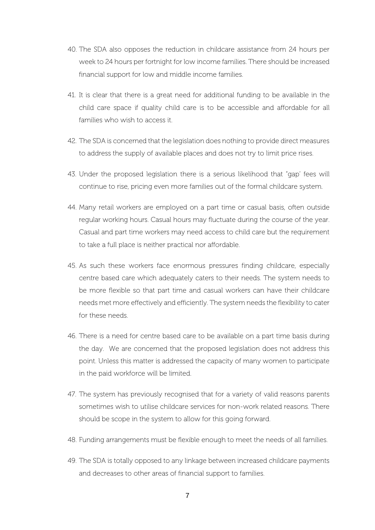- 40. The SDA also opposes the reduction in childcare assistance from 24 hours per week to 24 hours per fortnight for low income families. There should be increased financial support for low and middle income families.
- 41. It is clear that there is a great need for additional funding to be available in the child care space if quality child care is to be accessible and affordable for all families who wish to access it.
- 42. The SDA is concerned that the legislation does nothing to provide direct measures to address the supply of available places and does not try to limit price rises.
- 43. Under the proposed legislation there is a serious likelihood that "gap' fees will continue to rise, pricing even more families out of the formal childcare system.
- 44. Many retail workers are employed on a part time or casual basis, often outside regular working hours. Casual hours may fluctuate during the course of the year. Casual and part time workers may need access to child care but the requirement to take a full place is neither practical nor affordable.
- 45. As such these workers face enormous pressures finding childcare, especially centre based care which adequately caters to their needs. The system needs to be more flexible so that part time and casual workers can have their childcare needs met more effectively and efficiently. The system needs the flexibility to cater for these needs.
- 46. There is a need for centre based care to be available on a part time basis during the day. We are concerned that the proposed legislation does not address this point. Unless this matter is addressed the capacity of many women to participate in the paid workforce will be limited.
- 47. The system has previously recognised that for a variety of valid reasons parents sometimes wish to utilise childcare services for non-work related reasons. There should be scope in the system to allow for this going forward.
- 48. Funding arrangements must be flexible enough to meet the needs of all families.
- 49. The SDA is totally opposed to any linkage between increased childcare payments and decreases to other areas of financial support to families.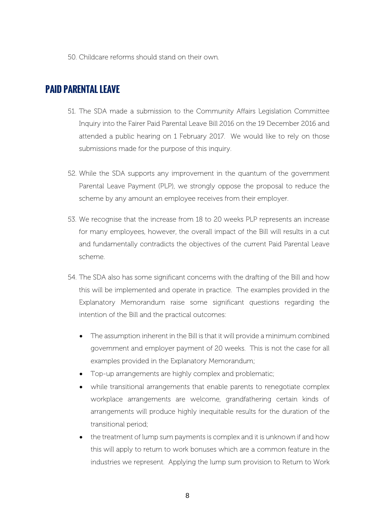50. Childcare reforms should stand on their own.

## **PAID PARENTAL LEAVE**

- 51. The SDA made a submission to the Community Affairs Legislation Committee Inquiry into the Fairer Paid Parental Leave Bill 2016 on the 19 December 2016 and attended a public hearing on 1 February 2017. We would like to rely on those submissions made for the purpose of this inquiry.
- 52. While the SDA supports any improvement in the quantum of the government Parental Leave Payment (PLP), we strongly oppose the proposal to reduce the scheme by any amount an employee receives from their employer.
- 53. We recognise that the increase from 18 to 20 weeks PLP represents an increase for many employees, however, the overall impact of the Bill will results in a cut and fundamentally contradicts the objectives of the current Paid Parental Leave scheme.
- 54. The SDA also has some significant concerns with the drafting of the Bill and how this will be implemented and operate in practice. The examples provided in the Explanatory Memorandum raise some significant questions regarding the intention of the Bill and the practical outcomes:
	- The assumption inherent in the Bill is that it will provide a minimum combined government and employer payment of 20 weeks. This is not the case for all examples provided in the Explanatory Memorandum;
	- Top-up arrangements are highly complex and problematic;
	- while transitional arrangements that enable parents to renegotiate complex workplace arrangements are welcome, grandfathering certain kinds of arrangements will produce highly inequitable results for the duration of the transitional period;
	- the treatment of lump sum payments is complex and it is unknown if and how this will apply to return to work bonuses which are a common feature in the industries we represent. Applying the lump sum provision to Return to Work